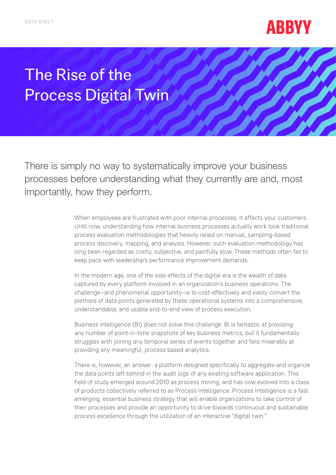

## The Rise of the Process Digital Twin

There is simply no way to systematically improve your business processes before understanding what they currently are and, most importantly, how they perform.

> When employees are frustrated with poor internal processes, it affects your customers. Until now, understanding how internal business processes actually work took traditional process evaluation methodologies that heavily relied on manual, sampling-based process discovery, mapping, and analysis. However, such evaluation methodology has long been regarded as costly, subjective, and painfully slow. These methods often fail to keep pace with leadership's performance improvement demands.

In the modern age, one of the side effects of the digital era is the wealth of data captured by every platform involved in an organization´s business operations. The challenge–and phenomenal opportunity–is to cost-effectively and easily convert the plethora of data points generated by these operational systems into a comprehensive, understandable, and usable end-to-end view of process execution.

Business intelligence (BI) does not solve this challenge. BI is fantastic at providing any number of point-in-time snapshots of key business metrics, but it fundamentally struggles with joining any temporal series of events together and fails miserably at providing any meaningful, process based analytics.

There is, however, an answer: a platform designed specifically to aggregate and organize the data points left behind in the audit logs of any existing software application. This field of study emerged around 2010 as process mining, and has now evolved into a class of products collectively referred to as Process Intelligence. Process Intelligence is a fast emerging, essential business strategy that will enable organizations to take control of their processes and provide an opportunity to drive towards continuous and sustainable process excellence through the utilization of an interactive "digital twin."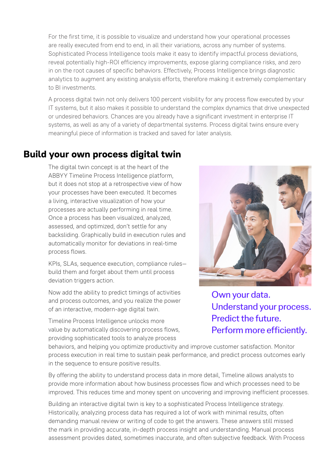For the first time, it is possible to visualize and understand how your operational processes are really executed from end to end, in all their variations, across any number of systems. Sophisticated Process Intelligence tools make it easy to identify impactful process deviations, reveal potentially high-ROI efficiency improvements, expose glaring compliance risks, and zero in on the root causes of specific behaviors. Effectively, Process Intelligence brings diagnostic analytics to augment any existing analysis efforts, therefore making it extremely complementary to BI investments.

A process digital twin not only delivers 100 percent visibility for any process flow executed by your IT systems, but it also makes it possible to understand the complex dynamics that drive unexpected or undesired behaviors. Chances are you already have a significant investment in enterprise IT systems, as well as any of a variety of departmental systems. Process digital twins ensure every meaningful piece of information is tracked and saved for later analysis.

## **Build your own process digital twin**

The digital twin concept is at the heart of the ABBYY Timeline Process Intelligence platform, but it does not stop at a retrospective view of how your processes have been executed. It becomes a living, interactive visualization of how your processes are actually performing in real time. Once a process has been visualized, analyzed, assessed, and optimized, don't settle for any backsliding. Graphically build in execution rules and automatically monitor for deviations in real-time process flows.

KPIs, SLAs, sequence execution, compliance rules build them and forget about them until process deviation triggers action.

Now add the ability to predict timings of activities and process outcomes, and you realize the power of an interactive, modern-age digital twin.

Timeline Process Intelligence unlocks more value by automatically discovering process flows, providing sophisticated tools to analyze process



Own your data. Understand your process. Predict the future. Perform more efficiently.

behaviors, and helping you optimize productivity and improve customer satisfaction. Monitor process execution in real time to sustain peak performance, and predict process outcomes early in the sequence to ensure positive results.

By offering the ability to understand process data in more detail, Timeline allows analysts to provide more information about how business processes flow and which processes need to be improved. This reduces time and money spent on uncovering and improving inefficient processes.

Building an interactive digital twin is key to a sophisticated Process Intelligence strategy. Historically, analyzing process data has required a lot of work with minimal results, often demanding manual review or writing of code to get the answers. These answers still missed the mark in providing accurate, in-depth process insight and understanding. Manual process assessment provides dated, sometimes inaccurate, and often subjective feedback. With Process